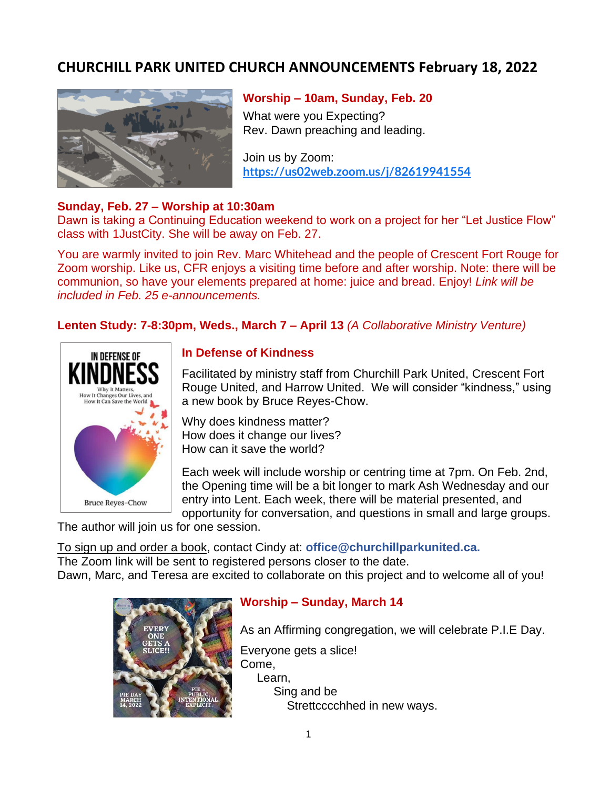# **CHURCHILL PARK UNITED CHURCH ANNOUNCEMENTS February 18, 2022**



#### **Worship – 10am, Sunday, Feb. 20**

What were you Expecting? Rev. Dawn preaching and leading.

Join us by Zoom: **<https://us02web.zoom.us/j/82619941554>**

## **Sunday, Feb. 27 – Worship at 10:30am**

Dawn is taking a Continuing Education weekend to work on a project for her "Let Justice Flow" class with 1JustCity. She will be away on Feb. 27.

You are warmly invited to join Rev. Marc Whitehead and the people of Crescent Fort Rouge for Zoom worship. Like us, CFR enjoys a visiting time before and after worship. Note: there will be communion, so have your elements prepared at home: juice and bread. Enjoy! *Link will be included in Feb. 25 e-announcements.*

## **Lenten Study: 7-8:30pm, Weds., March 7 – April 13** *(A Collaborative Ministry Venture)*



## **In Defense of Kindness**

Facilitated by ministry staff from Churchill Park United, Crescent Fort Rouge United, and Harrow United. We will consider "kindness," using a new book by Bruce Reyes-Chow.

Why does kindness matter? How does it change our lives? How can it save the world?

Each week will include worship or centring time at 7pm. On Feb. 2nd, the Opening time will be a bit longer to mark Ash Wednesday and our entry into Lent. Each week, there will be material presented, and opportunity for conversation, and questions in small and large groups.

The author will join us for one session.

To sign up and order a book, contact Cindy at: **office@churchillparkunited.ca.** The Zoom link will be sent to registered persons closer to the date. Dawn, Marc, and Teresa are excited to collaborate on this project and to welcome all of you!



## **Worship – Sunday, March 14**

As an Affirming congregation, we will celebrate P.I.E Day.

Everyone gets a slice! Come, Learn, Sing and be Strettcccchhed in new ways.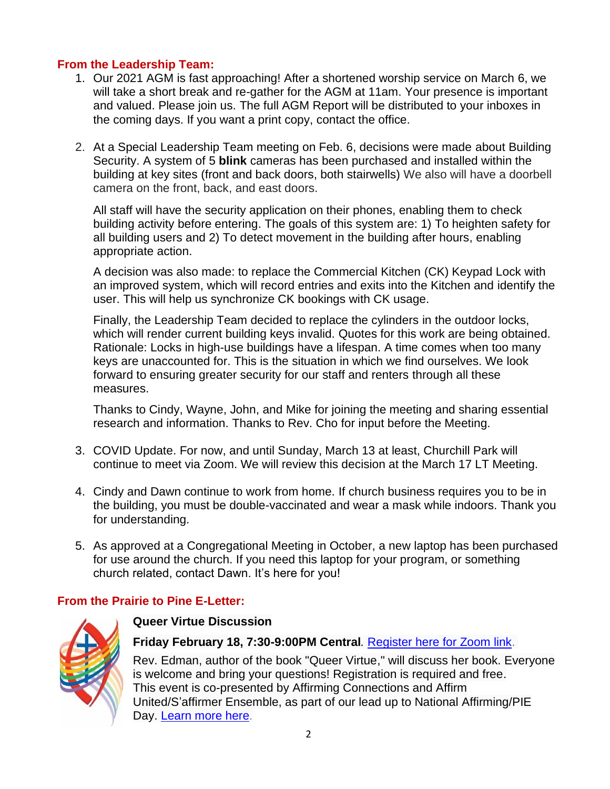## **From the Leadership Team:**

- 1. Our 2021 AGM is fast approaching! After a shortened worship service on March 6, we will take a short break and re-gather for the AGM at 11am. Your presence is important and valued. Please join us. The full AGM Report will be distributed to your inboxes in the coming days. If you want a print copy, contact the office.
- 2. At a Special Leadership Team meeting on Feb. 6, decisions were made about Building Security. A system of 5 **blink** cameras has been purchased and installed within the building at key sites (front and back doors, both stairwells) We also will have a doorbell camera on the front, back, and east doors.

All staff will have the security application on their phones, enabling them to check building activity before entering. The goals of this system are: 1) To heighten safety for all building users and 2) To detect movement in the building after hours, enabling appropriate action.

A decision was also made: to replace the Commercial Kitchen (CK) Keypad Lock with an improved system, which will record entries and exits into the Kitchen and identify the user. This will help us synchronize CK bookings with CK usage.

Finally, the Leadership Team decided to replace the cylinders in the outdoor locks, which will render current building keys invalid. Quotes for this work are being obtained. Rationale: Locks in high-use buildings have a lifespan. A time comes when too many keys are unaccounted for. This is the situation in which we find ourselves. We look forward to ensuring greater security for our staff and renters through all these measures.

Thanks to Cindy, Wayne, John, and Mike for joining the meeting and sharing essential research and information. Thanks to Rev. Cho for input before the Meeting.

- 3. COVID Update. For now, and until Sunday, March 13 at least, Churchill Park will continue to meet via Zoom. We will review this decision at the March 17 LT Meeting.
- 4. Cindy and Dawn continue to work from home. If church business requires you to be in the building, you must be double-vaccinated and wear a mask while indoors. Thank you for understanding.
- 5. As approved at a Congregational Meeting in October, a new laptop has been purchased for use around the church. If you need this laptop for your program, or something church related, contact Dawn. It's here for you!

# **From the Prairie to Pine E-Letter:**



## **Queer Virtue Discussion**

**Friday February 18, 7:30-9:00PM Central***.* [Register here for Zoom link.](https://mnwo.us20.list-manage.com/track/click?u=049b24868af3bed6464e05592&id=e5e90a028c&e=99e99334c0)

Rev. Edman, author of the book "Queer Virtue," will discuss her book. Everyone is welcome and bring your questions! Registration is required and free. This event is co-presented by Affirming Connections and Affirm United/S'affirmer Ensemble, as part of our lead up to National Affirming/PIE Day. [Learn more here](https://mnwo.us20.list-manage.com/track/click?u=049b24868af3bed6464e05592&id=c223212884&e=99e99334c0).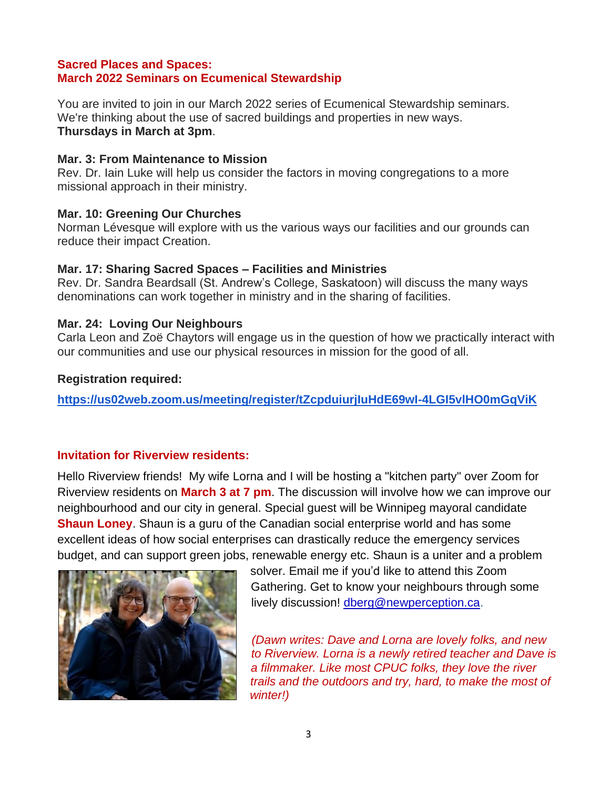## **Sacred Places and Spaces: March 2022 Seminars on Ecumenical Stewardship**

You are invited to join in our March 2022 series of Ecumenical Stewardship seminars. We're thinking about the use of sacred buildings and properties in new ways. **Thursdays in March at 3pm**.

#### **Mar. 3: From Maintenance to Mission**

Rev. Dr. Iain Luke will help us consider the factors in moving congregations to a more missional approach in their ministry.

#### **Mar. 10: Greening Our Churches**

Norman Lévesque will explore with us the various ways our facilities and our grounds can reduce their impact Creation.

#### **Mar. 17: Sharing Sacred Spaces – Facilities and Ministries**

Rev. Dr. Sandra Beardsall (St. Andrew's College, Saskatoon) will discuss the many ways denominations can work together in ministry and in the sharing of facilities.

## **Mar. 24: Loving Our Neighbours**

Carla Leon and Zoë Chaytors will engage us in the question of how we practically interact with our communities and use our physical resources in mission for the good of all.

#### **Registration required:**

**<https://us02web.zoom.us/meeting/register/tZcpduiurjIuHdE69wI-4LGI5vlHO0mGqViK>**

## **Invitation for Riverview residents:**

Hello Riverview friends! My wife Lorna and I will be hosting a "kitchen party" over Zoom for Riverview residents on **March 3 at 7 pm**. The discussion will involve how we can improve our neighbourhood and our city in general. Special guest will be Winnipeg mayoral candidate **Shaun Loney**. Shaun is a guru of the Canadian social enterprise world and has some excellent ideas of how social enterprises can drastically reduce the emergency services budget, and can support green jobs, renewable energy etc. Shaun is a uniter and a problem



solver. Email me if you'd like to attend this Zoom Gathering. Get to know your neighbours through some lively discussion! [dberg@newperception.ca.](mailto:dberg@newperception.ca)

*(Dawn writes: Dave and Lorna are lovely folks, and new to Riverview. Lorna is a newly retired teacher and Dave is a filmmaker. Like most CPUC folks, they love the river trails and the outdoors and try, hard, to make the most of winter!)*